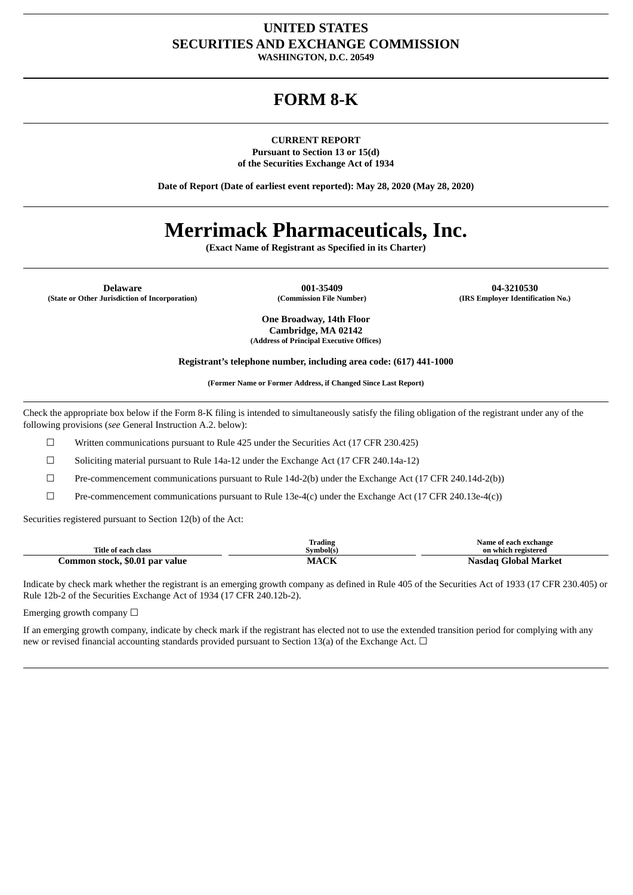## **UNITED STATES SECURITIES AND EXCHANGE COMMISSION**

**WASHINGTON, D.C. 20549**

## **FORM 8-K**

### **CURRENT REPORT**

**Pursuant to Section 13 or 15(d) of the Securities Exchange Act of 1934**

**Date of Report (Date of earliest event reported): May 28, 2020 (May 28, 2020)**

# **Merrimack Pharmaceuticals, Inc.**

**(Exact Name of Registrant as Specified in its Charter)**

**Delaware 001-35409 04-3210530 (State or Other Jurisdiction of Incorporation) (Commission File Number) (IRS Employer Identification No.)**

**One Broadway, 14th Floor Cambridge, MA 02142 (Address of Principal Executive Offices)**

**Registrant's telephone number, including area code: (617) 441-1000**

**(Former Name or Former Address, if Changed Since Last Report)**

Check the appropriate box below if the Form 8-K filing is intended to simultaneously satisfy the filing obligation of the registrant under any of the following provisions (*see* General Instruction A.2. below):

☐ Written communications pursuant to Rule 425 under the Securities Act (17 CFR 230.425)

☐ Soliciting material pursuant to Rule 14a-12 under the Exchange Act (17 CFR 240.14a-12)

 $\Box$  Pre-commencement communications pursuant to Rule 14d-2(b) under the Exchange Act (17 CFR 240.14d-2(b))

 $\Box$  Pre-commencement communications pursuant to Rule 13e-4(c) under the Exchange Act (17 CFR 240.13e-4(c))

Securities registered pursuant to Section 12(b) of the Act:

|                                | Frading         | Name of each exchange   |
|--------------------------------|-----------------|-------------------------|
| Title of each class            | <b>Symbol(s</b> | on which registered     |
| Common stock, \$0.01 par value | $.$ $\Gamma$    | Global Market<br>Nasɑac |

Indicate by check mark whether the registrant is an emerging growth company as defined in Rule 405 of the Securities Act of 1933 (17 CFR 230.405) or Rule 12b-2 of the Securities Exchange Act of 1934 (17 CFR 240.12b-2).

Emerging growth company  $\Box$ 

If an emerging growth company, indicate by check mark if the registrant has elected not to use the extended transition period for complying with any new or revised financial accounting standards provided pursuant to Section 13(a) of the Exchange Act.  $\Box$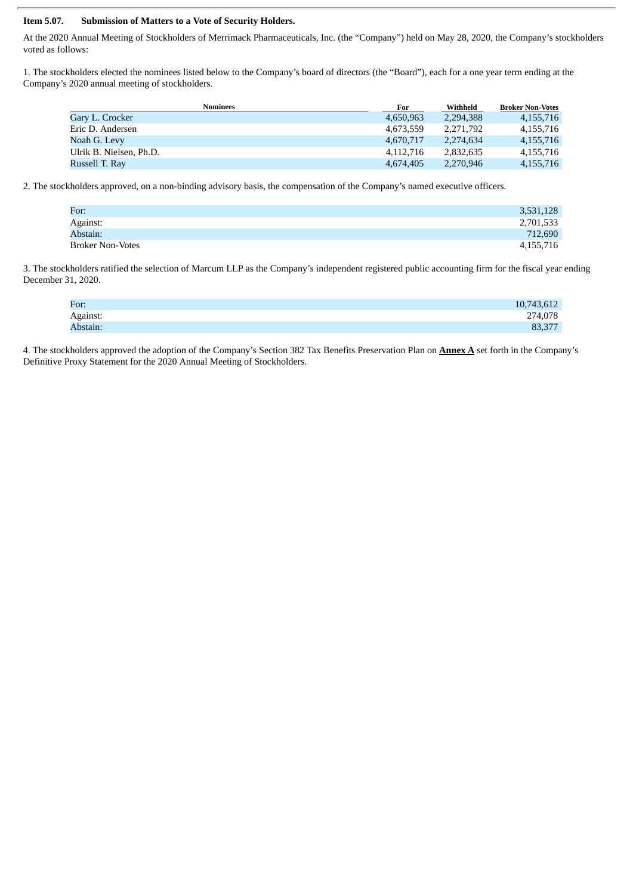### **Item 5.07. Submission of Matters to a Vote of Security Holders.**

At the 2020 Annual Meeting of Stockholders of Merrimack Pharmaceuticals, Inc. (the "Company") held on May 28, 2020, the Company's stockholders voted as follows:

1. The stockholders elected the nominees listed below to the Company's board of directors (the "Board"), each for a one year term ending at the Company's 2020 annual meeting of stockholders.

| <b>Nominees</b>         | For       | Withheld  | <b>Broker Non-Votes</b> |
|-------------------------|-----------|-----------|-------------------------|
| Gary L. Crocker         | 4.650.963 | 2,294,388 | 4, 155, 716             |
| Eric D. Andersen        | 4.673.559 | 2.271.792 | 4,155,716               |
| Noah G. Levy            | 4.670.717 | 2.274.634 | 4.155.716               |
| Ulrik B. Nielsen, Ph.D. | 4.112.716 | 2.832.635 | 4,155,716               |
| Russell T. Rav          | 4.674.405 | 2.270.946 | 4, 155, 716             |

2. The stockholders approved, on a non-binding advisory basis, the compensation of the Company's named executive officers.

| For:             | 3,531,128 |
|------------------|-----------|
| Against:         | 2,701,533 |
| Abstain:         | 712,690   |
| Broker Non-Votes | 4,155,716 |

3. The stockholders ratified the selection of Marcum LLP as the Company's independent registered public accounting firm for the fiscal year ending December 31, 2020.

| For:     | 10,743,612 |
|----------|------------|
| Against: | 274,078    |
| Abstain: | 83,377     |

4. The stockholders approved the adoption of the Company's Section 382 Tax Benefits Preservation Plan on **Annex A** set forth in the Company's Definitive Proxy Statement for the 2020 Annual Meeting of Stockholders.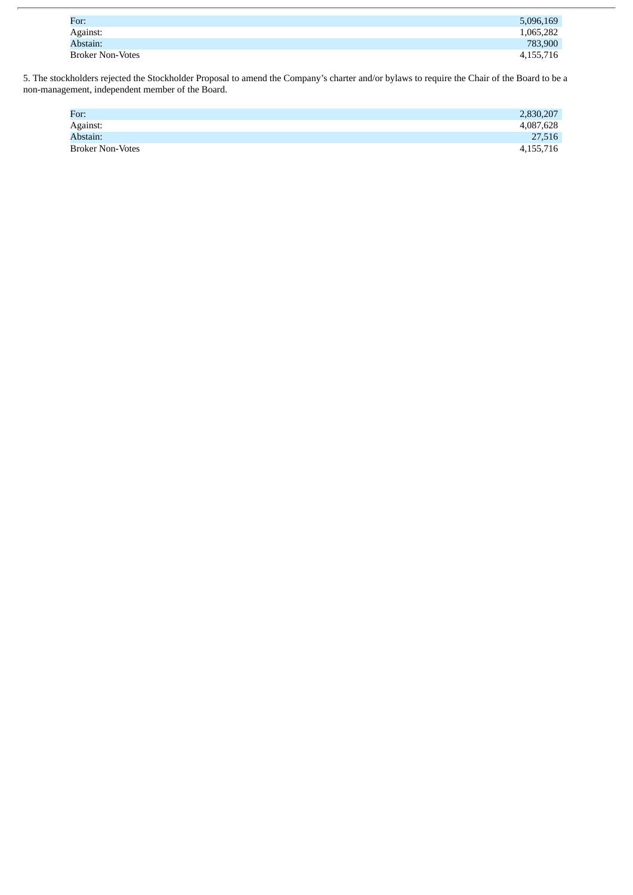| For:                    | 5,096,169 |
|-------------------------|-----------|
| Against:                | 1,065,282 |
| Abstain:                | 783,900   |
| <b>Broker Non-Votes</b> | 4,155,716 |

5. The stockholders rejected the Stockholder Proposal to amend the Company's charter and/or bylaws to require the Chair of the Board to be a non-management, independent member of the Board.

| For:                    | 2,830,207 |
|-------------------------|-----------|
| Against:                | 4,087,628 |
| Abstain:                | 27,516    |
| <b>Broker Non-Votes</b> | 4,155,716 |